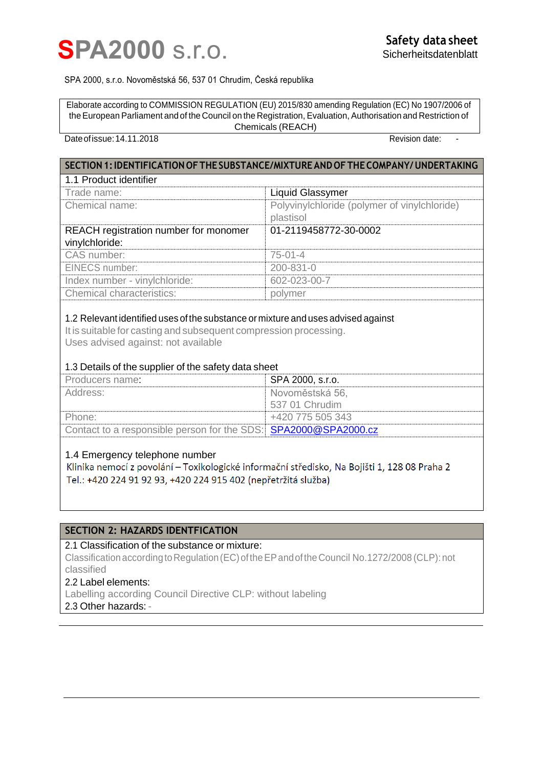

#### SPA 2000, s.r.o. Novoměstská 56, 537 01 Chrudim, Česká republika

Elaborate according to COMMISSION REGULATION (EU) 2015/830 amending Regulation (EC) No 1907/2006 of theEuropean Parliament and of the Council on the Registration, Evaluation, Authorisation and Restriction of Chemicals (REACH)

## Date of issue: 14.11.2018 **Date:**  $\overline{a}$  Revision date:

| SECTION 1: IDENTIFICATION OF THE SUBSTANCE/MIXTURE AND OF THE COMPANY/UNDERTAKING                                                                                                                                                                    |                                                           |  |
|------------------------------------------------------------------------------------------------------------------------------------------------------------------------------------------------------------------------------------------------------|-----------------------------------------------------------|--|
| 1.1 Product identifier                                                                                                                                                                                                                               |                                                           |  |
| Trade name:                                                                                                                                                                                                                                          | Liquid Glassymer                                          |  |
| Chemical name:                                                                                                                                                                                                                                       | Polyvinylchloride (polymer of vinylchloride)<br>plastisol |  |
| REACH registration number for monomer                                                                                                                                                                                                                | 01-2119458772-30-0002                                     |  |
| vinylchloride:                                                                                                                                                                                                                                       |                                                           |  |
| CAS number:                                                                                                                                                                                                                                          | $75-01-4$                                                 |  |
| <b>EINECS number:</b>                                                                                                                                                                                                                                | 200-831-0                                                 |  |
| Index number - vinylchloride:                                                                                                                                                                                                                        | 602-023-00-7                                              |  |
| <b>Chemical characteristics:</b>                                                                                                                                                                                                                     | polymer                                                   |  |
| $\boldsymbol{A}$ . On the constitution $\partial \boldsymbol{B}$ is decreased by the construction of the construction of the construction of the construction of the construction of the construction of the construction of the construction of the |                                                           |  |

#### 1.2 Relevant identified uses ofthe substance or mixture and uses advised against

It is suitable for casting and subsequent compression processing. Uses advised against: not available

# 1.3 Details of the supplier of the safety data sheet

| Producers name:                                                 | SPA 2000, s.r.o. |
|-----------------------------------------------------------------|------------------|
| Address:                                                        | Novoměstská 56.  |
|                                                                 | 537 01 Chrudim   |
| Phone:                                                          | +420 775 505 343 |
| Contact to a responsible person for the SDS: SPA2000@SPA2000.cz |                  |

# 1.4 Emergency telephone number

Klinika nemocí z povolání – Toxikologické informační středisko, Na Bojišti 1, 128 08 Praha 2 Tel.: +420 224 91 92 93, +420 224 915 402 (nepřetržitá služba)

# **SECTION 2: HAZARDS IDENTFICATION**

# 2.1 Classification of the substance or mixture:

Classification according to Regulation (EC) of the EP and of the Council No.1272/2008 (CLP): not classified

# 2.2 Label elements:

Labelling according Council Directive CLP: without labeling

2.3 Other hazards: -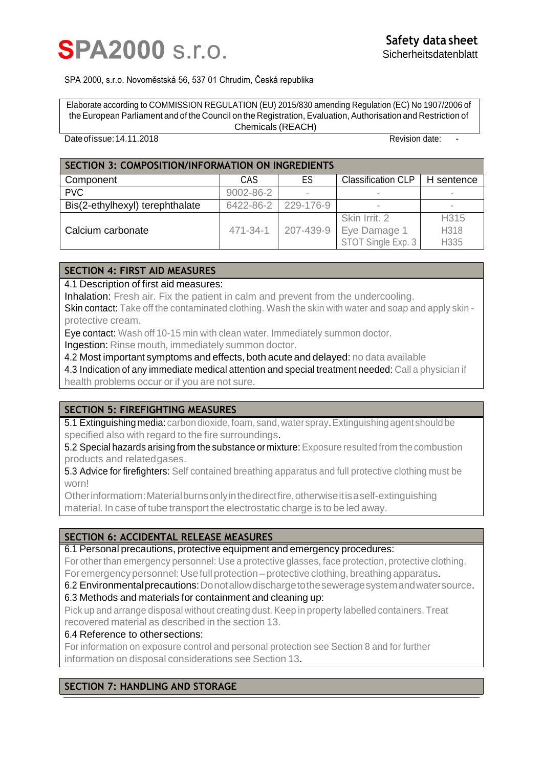# **SPA2000 s.r.o.**

#### SPA 2000, s.r.o. Novoměstská 56, 537 01 Chrudim, Česká republika

Elaborate according to COMMISSION REGULATION (EU) 2015/830 amending Regulation (EC) No 1907/2006 of theEuropean Parliament and of the Council on the Registration, Evaluation, Authorisation and Restriction of Chemicals (REACH)

#### Date of issue: 14.11.2018 **Date:**  $\overline{a}$  Revision date:

| <b>SECTION 3: COMPOSITION/INFORMATION ON INGREDIENTS</b> |           |           |                           |                  |
|----------------------------------------------------------|-----------|-----------|---------------------------|------------------|
| Component                                                | CAS       | ES        | <b>Classification CLP</b> | H sentence       |
| <b>PVC</b>                                               | 9002-86-2 |           |                           | $\sim$           |
| Bis(2-ethylhexyl) terephthalate                          | 6422-86-2 | 229-176-9 | $\overline{\phantom{a}}$  | $\sim$           |
|                                                          |           |           | Skin Irrit. 2             | H <sub>315</sub> |
| Calcium carbonate                                        | 471-34-1  | 207-439-9 | Eye Damage 1              | H318             |
|                                                          |           |           | STOT Single Exp. 3        | H335             |

# **SECTION 4: FIRST AID MEASURES**

4.1 Description of first aid measures:

Inhalation: Fresh air. Fix the patient in calm and prevent from the undercooling.

Skin contact: Take off the contaminated clothing. Wash the skin with water and soap and apply skin protective cream.

Eye contact: Wash off 10-15 min with clean water. Immediately summon doctor.

Ingestion: Rinse mouth, immediately summon doctor.

4.2 Most important symptoms and effects, both acute and delayed: no data available

4.3 Indication of any immediate medical attention and special treatment needed: Call a physician if health problems occur or if you are not sure.

# **SECTION 5: FIREFIGHTING MEASURES**

5.1 Extinguishing media: carbon dioxide, foam, sand, water spray. Extinguishing agent should be specified also with regard to the fire surroundings.

5.2 Special hazards arising from the substance or mixture: Exposure resulted from the combustion products and relatedgases.

5.3 Advice for firefighters: Self contained breathing apparatus and full protective clothing must be worn!

Otherinformatiom:Materialburnsonlyinthedirectfire,otherwiseitisaself-extinguishing material. In case of tube transport the electrostatic charge is to be led away.

# **SECTION 6: ACCIDENTAL RELEASE MEASURES**

6.1 Personal precautions, protective equipment and emergency procedures:

For other than emergency personnel: Use a protective glasses, face protection, protective clothing. For emergency personnel: Use full protection – protective clothing, breathing apparatus.

6.2 Environmentalprecautions:Donotallowdischargetotheseweragesystemandwatersource.

6.3 Methods and materials for containment and cleaning up:

Pick up and arrange disposal without creating dust. Keep in property labelled containers. Treat recovered material as described in the section 13.

# 6.4 Reference to othersections:

For information on exposure control and personal protection see Section 8 and for further information on disposal considerations see Section 13.

# **SECTION 7: HANDLING AND STORAGE**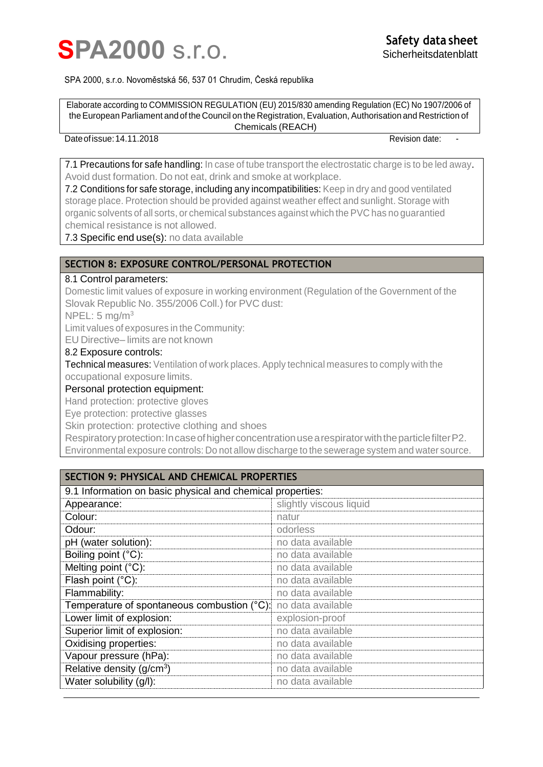

#### SPA 2000, s.r.o. Novoměstská 56, 537 01 Chrudim, Česká republika

Elaborate according to COMMISSION REGULATION (EU) 2015/830 amending Regulation (EC) No 1907/2006 of theEuropean Parliament and of the Council on the Registration, Evaluation, Authorisation and Restriction of Chemicals (REACH)

# Date of issue: 14.11.2018 **Date:**  $\overline{a}$  Revision date:

7.1 Precautions for safe handling: In case of tube transport the electrostatic charge is to be led away. Avoid dust formation. Do not eat, drink and smoke at workplace.

7.2 Conditions for safe storage, including any incompatibilities: Keep in dry and good ventilated storage place. Protection should be provided against weather effect and sunlight. Storage with organic solvents of all sorts, or chemical substances against which the PVC has no guarantied chemical resistance is not allowed.

7.3 Specific end use(s): no data available

# **SECTION 8: EXPOSURE CONTROL/PERSONAL PROTECTION**

### 8.1 Control parameters:

Domestic limit values of exposure in working environment (Regulation of the Government of the Slovak Republic No. 355/2006 Coll.) for PVC dust:

 $NPEL: 5$  mg/m<sup>3</sup>

Limit values of exposures in the Community:

EU Directive– limits are not known

#### 8.2 Exposure controls:

Technical measures: Ventilation of work places. Apply technical measures to comply with the occupational exposure limits.

## Personal protection equipment:

Hand protection: protective gloves

Eye protection: protective glasses

Skin protection: protective clothing and shoes

Respiratory protection: In case of higher concentration use a respirator with the particle filter P2. Environmental exposure controls: Do not allow discharge to the sewerage system and water source.

| <b>SECTION 9: PHYSICAL AND CHEMICAL PROPERTIES</b>            |                         |
|---------------------------------------------------------------|-------------------------|
| 9.1 Information on basic physical and chemical properties:    |                         |
| Appearance:                                                   | slightly viscous liquid |
| Colour:                                                       | natur                   |
| Odour:                                                        | odorless                |
| pH (water solution):                                          | no data available       |
| Boiling point (°C):                                           | no data available       |
| Melting point (°C):                                           | no data available       |
| Flash point (°C):                                             | no data available       |
| Flammability:                                                 | no data available       |
| Temperature of spontaneous combustion (°C): no data available |                         |
| Lower limit of explosion:                                     | explosion-proof         |
| Superior limit of explosion:                                  | no data available       |
| Oxidising properties:                                         | no data available       |
| Vapour pressure (hPa):                                        | no data available       |
| Relative density $(g/cm3)$                                    | no data available       |
| Water solubility (g/l):                                       | no data available       |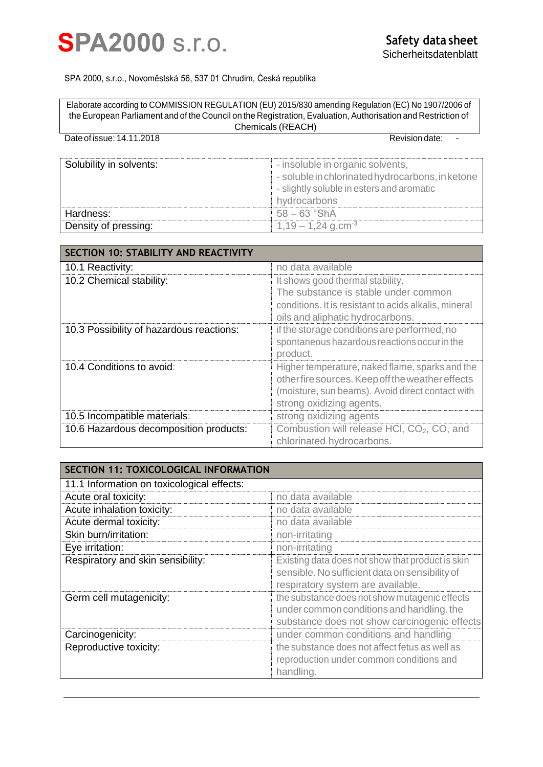

#### SPA 2000, s.r.o., Novoměstská 56, 537 01 Chrudim, Česká republika

Elaborate according to COMMISSION REGULATION (EU) 2015/830 amending Regulation (EC) No 1907/2006 of theEuropean Parliament and of the Council on the Registration, Evaluation, Authorisation and Restriction of Chemicals (REACH)

| Date of issue: 14.11.2018 | Revision date:                                                                                                                                    |
|---------------------------|---------------------------------------------------------------------------------------------------------------------------------------------------|
| Solubility in solvents:   | - insoluble in organic solvents,<br>- soluble in chlorinated hydrocarbons, in ketone<br>- slightly soluble in esters and aromatic<br>hydrocarbons |
| Hardness:                 | $58 - 63$ $\degree$ ShA                                                                                                                           |
| Density of pressing:      | $1,19-1,24$ g.cm <sup>-3</sup>                                                                                                                    |

| <b>SECTION 10: STABILITY AND REACTIVITY</b> |                                                        |
|---------------------------------------------|--------------------------------------------------------|
| 10.1 Reactivity:                            | no data available                                      |
| 10.2 Chemical stability:                    | It shows good thermal stability.                       |
|                                             | The substance is stable under common                   |
|                                             | conditions. It is resistant to acids alkalis, mineral  |
|                                             | oils and aliphatic hydrocarbons.                       |
| 10.3 Possibility of hazardous reactions:    | if the storage conditions are performed, no            |
|                                             | spontaneous hazardous reactions occur in the           |
|                                             | product.                                               |
| 10.4 Conditions to avoid:                   | Higher temperature, naked flame, sparks and the        |
|                                             | other fire sources. Keep off the weather effects       |
|                                             | (moisture, sun beams). Avoid direct contact with       |
|                                             | strong oxidizing agents.                               |
| 10.5 Incompatible materials:                | strong oxidizing agents                                |
| 10.6 Hazardous decomposition products:      | Combustion will release HCI, CO <sub>2</sub> , CO, and |
|                                             | chlorinated hydrocarbons.                              |

| <b>SECTION 11: TOXICOLOGICAL INFORMATION</b> |                                                                                                                                            |
|----------------------------------------------|--------------------------------------------------------------------------------------------------------------------------------------------|
| 11.1 Information on toxicological effects:   |                                                                                                                                            |
| Acute oral toxicity:                         | no data available                                                                                                                          |
| Acute inhalation toxicity:                   | no data available                                                                                                                          |
| Acute dermal toxicity:                       | no data available                                                                                                                          |
| Skin burn/irritation:                        | non-irritating                                                                                                                             |
| Eye irritation:                              | non-irritating                                                                                                                             |
| Respiratory and skin sensibility:            | Existing data does not show that product is skin<br>sensible. No sufficient data on sensibility of<br>respiratory system are available.    |
| Germ cell mutagenicity:                      | the substance does not show mutagenic effects<br>under common conditions and handling. the<br>substance does not show carcinogenic effects |
| Carcinogenicity:                             | under common conditions and handling                                                                                                       |
| Reproductive toxicity:                       | the substance does not affect fetus as well as                                                                                             |
|                                              | reproduction under common conditions and<br>handling.                                                                                      |